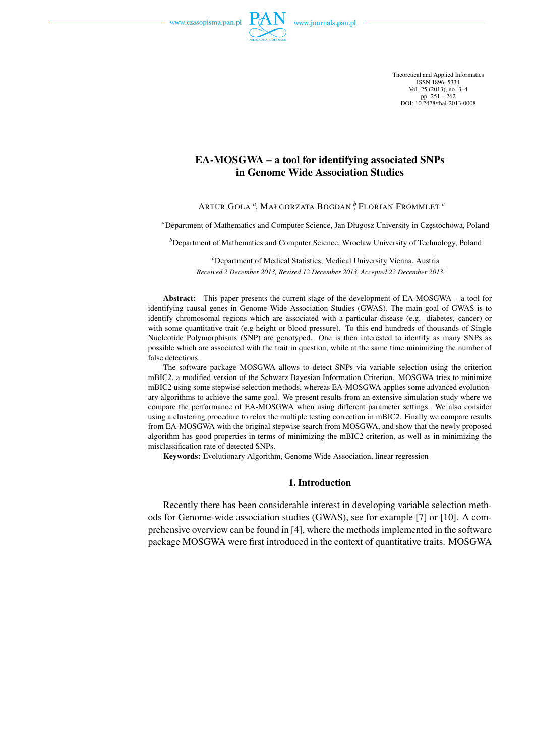

Theoretical and Applied Informatics ISSN 1896–5334 Vol. 25 (2013), no. 3–4 pp.  $251 - 262$ DOI: 10.2478/thai-2013-0008

# EA-MOSGWA – a tool for identifying associated SNPs in Genome Wide Association Studies

ARTUR GOLA *<sup>a</sup>* , MAŁGORZATA BOGDAN *<sup>b</sup>* , FLORIAN FROMMLET *<sup>c</sup>*

<sup>a</sup>Department of Mathematics and Computer Science, Jan Długosz University in Częstochowa, Poland

*b*Department of Mathematics and Computer Science, Wrocław University of Technology, Poland

*<sup>c</sup>*Department of Medical Statistics, Medical University Vienna, Austria *Received 2 December 2013, Revised 12 December 2013, Accepted 22 December 2013.*

Abstract: This paper presents the current stage of the development of EA-MOSGWA – a tool for identifying causal genes in Genome Wide Association Studies (GWAS). The main goal of GWAS is to identify chromosomal regions which are associated with a particular disease (e.g. diabetes, cancer) or with some quantitative trait (e.g height or blood pressure). To this end hundreds of thousands of Single Nucleotide Polymorphisms (SNP) are genotyped. One is then interested to identify as many SNPs as possible which are associated with the trait in question, while at the same time minimizing the number of false detections.

The software package MOSGWA allows to detect SNPs via variable selection using the criterion mBIC2, a modified version of the Schwarz Bayesian Information Criterion. MOSGWA tries to minimize mBIC2 using some stepwise selection methods, whereas EA-MOSGWA applies some advanced evolutionary algorithms to achieve the same goal. We present results from an extensive simulation study where we compare the performance of EA-MOSGWA when using different parameter settings. We also consider using a clustering procedure to relax the multiple testing correction in mBIC2. Finally we compare results from EA-MOSGWA with the original stepwise search from MOSGWA, and show that the newly proposed algorithm has good properties in terms of minimizing the mBIC2 criterion, as well as in minimizing the misclassification rate of detected SNPs.

Keywords: Evolutionary Algorithm, Genome Wide Association, linear regression

## 1. Introduction

Recently there has been considerable interest in developing variable selection methods for Genome-wide association studies (GWAS), see for example [7] or [10]. A comprehensive overview can be found in [4], where the methods implemented in the software package MOSGWA were first introduced in the context of quantitative traits. MOSGWA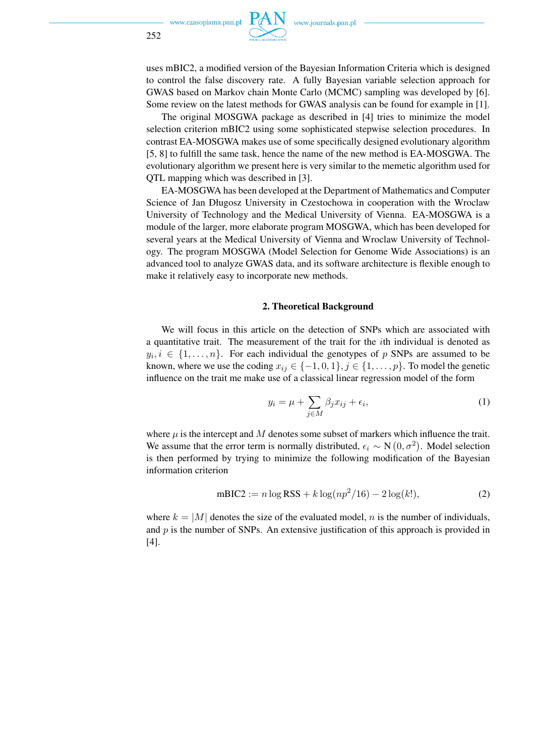

uses mBIC2, a modified version of the Bayesian Information Criteria which is designed to control the false discovery rate. A fully Bayesian variable selection approach for GWAS based on Markov chain Monte Carlo (MCMC) sampling was developed by [6]. Some review on the latest methods for GWAS analysis can be found for example in [1].

The original MOSGWA package as described in [4] tries to minimize the model selection criterion mBIC2 using some sophisticated stepwise selection procedures. In contrast EA-MOSGWA makes use of some specifically designed evolutionary algorithm [5, 8] to fulfill the same task, hence the name of the new method is EA-MOSGWA. The evolutionary algorithm we present here is very similar to the memetic algorithm used for QTL mapping which was described in [3].

EA-MOSGWA has been developed at the Department of Mathematics and Computer Science of Jan Długosz University in Czestochowa in cooperation with the Wroclaw University of Technology and the Medical University of Vienna. EA-MOSGWA is a module of the larger, more elaborate program MOSGWA, which has been developed for several years at the Medical University of Vienna and Wroclaw University of Technology. The program MOSGWA (Model Selection for Genome Wide Associations) is an advanced tool to analyze GWAS data, and its software architecture is flexible enough to make it relatively easy to incorporate new methods.

#### 2. Theoretical Background

We will focus in this article on the detection of SNPs which are associated with a quantitative trait. The measurement of the trait for the ith individual is denoted as  $y_i, i \in \{1, \ldots, n\}$ . For each individual the genotypes of p SNPs are assumed to be known, where we use the coding  $x_{ij} \in \{-1,0,1\}, j \in \{1,\ldots,p\}$ . To model the genetic influence on the trait me make use of a classical linear regression model of the form

$$
y_i = \mu + \sum_{j \in M} \beta_j x_{ij} + \epsilon_i,
$$
 (1)

where  $\mu$  is the intercept and M denotes some subset of markers which influence the trait. We assume that the error term is normally distributed,  $\epsilon_i \sim N(0, \sigma^2)$ . Model selection is then performed by trying to minimize the following modification of the Bayesian information criterion

$$
mBIC2 := n \log RSS + k \log(np^2/16) - 2 \log(k!), \tag{2}
$$

where  $k = |M|$  denotes the size of the evaluated model, n is the number of individuals, and  $p$  is the number of SNPs. An extensive justification of this approach is provided in [4].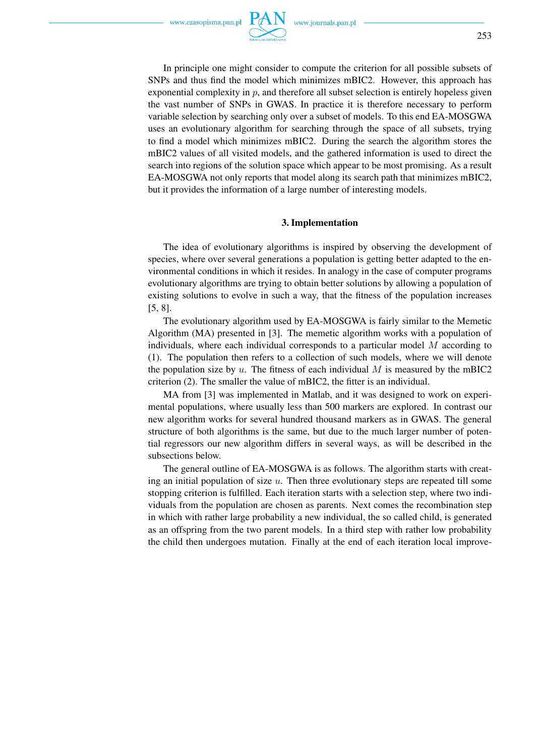In principle one might consider to compute the criterion for all possible subsets of SNPs and thus find the model which minimizes mBIC2. However, this approach has exponential complexity in  $p$ , and therefore all subset selection is entirely hopeless given the vast number of SNPs in GWAS. In practice it is therefore necessary to perform variable selection by searching only over a subset of models. To this end EA-MOSGWA uses an evolutionary algorithm for searching through the space of all subsets, trying to find a model which minimizes mBIC2. During the search the algorithm stores the mBIC2 values of all visited models, and the gathered information is used to direct the search into regions of the solution space which appear to be most promising. As a result EA-MOSGWA not only reports that model along its search path that minimizes mBIC2, but it provides the information of a large number of interesting models.

### 3. Implementation

The idea of evolutionary algorithms is inspired by observing the development of species, where over several generations a population is getting better adapted to the environmental conditions in which it resides. In analogy in the case of computer programs evolutionary algorithms are trying to obtain better solutions by allowing a population of existing solutions to evolve in such a way, that the fitness of the population increases [5, 8].

The evolutionary algorithm used by EA-MOSGWA is fairly similar to the Memetic Algorithm (MA) presented in [3]. The memetic algorithm works with a population of individuals, where each individual corresponds to a particular model M according to (1). The population then refers to a collection of such models, where we will denote the population size by u. The fitness of each individual M is measured by the mBIC2 criterion (2). The smaller the value of mBIC2, the fitter is an individual.

MA from [3] was implemented in Matlab, and it was designed to work on experimental populations, where usually less than 500 markers are explored. In contrast our new algorithm works for several hundred thousand markers as in GWAS. The general structure of both algorithms is the same, but due to the much larger number of potential regressors our new algorithm differs in several ways, as will be described in the subsections below.

The general outline of EA-MOSGWA is as follows. The algorithm starts with creating an initial population of size  $u$ . Then three evolutionary steps are repeated till some stopping criterion is fulfilled. Each iteration starts with a selection step, where two individuals from the population are chosen as parents. Next comes the recombination step in which with rather large probability a new individual, the so called child, is generated as an offspring from the two parent models. In a third step with rather low probability the child then undergoes mutation. Finally at the end of each iteration local improve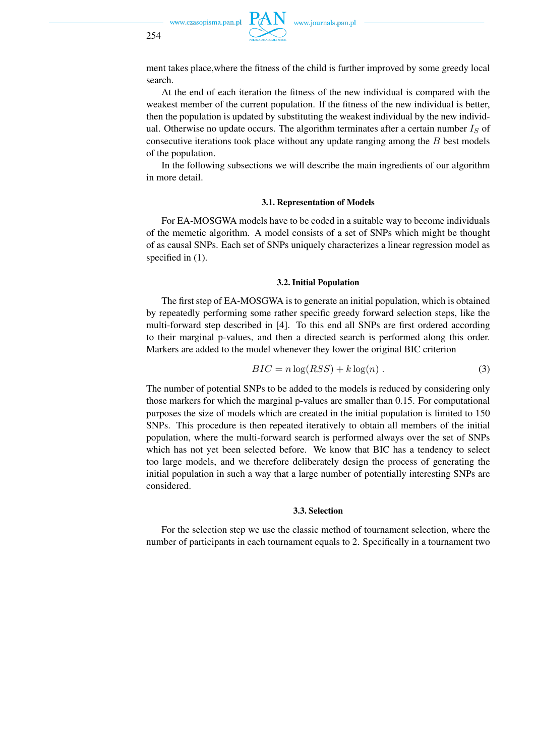ment takes place,where the fitness of the child is further improved by some greedy local search.

At the end of each iteration the fitness of the new individual is compared with the weakest member of the current population. If the fitness of the new individual is better, then the population is updated by substituting the weakest individual by the new individual. Otherwise no update occurs. The algorithm terminates after a certain number  $I_S$  of consecutive iterations took place without any update ranging among the B best models of the population.

In the following subsections we will describe the main ingredients of our algorithm in more detail.

#### 3.1. Representation of Models

For EA-MOSGWA models have to be coded in a suitable way to become individuals of the memetic algorithm. A model consists of a set of SNPs which might be thought of as causal SNPs. Each set of SNPs uniquely characterizes a linear regression model as specified in  $(1)$ .

#### 3.2. Initial Population

The first step of EA-MOSGWA is to generate an initial population, which is obtained by repeatedly performing some rather specific greedy forward selection steps, like the multi-forward step described in [4]. To this end all SNPs are first ordered according to their marginal p-values, and then a directed search is performed along this order. Markers are added to the model whenever they lower the original BIC criterion

$$
BIC = n \log(RSS) + k \log(n) . \tag{3}
$$

The number of potential SNPs to be added to the models is reduced by considering only those markers for which the marginal p-values are smaller than 0.15. For computational purposes the size of models which are created in the initial population is limited to 150 SNPs. This procedure is then repeated iteratively to obtain all members of the initial population, where the multi-forward search is performed always over the set of SNPs which has not yet been selected before. We know that BIC has a tendency to select too large models, and we therefore deliberately design the process of generating the initial population in such a way that a large number of potentially interesting SNPs are considered.

#### 3.3. Selection

For the selection step we use the classic method of tournament selection, where the number of participants in each tournament equals to 2. Specifically in a tournament two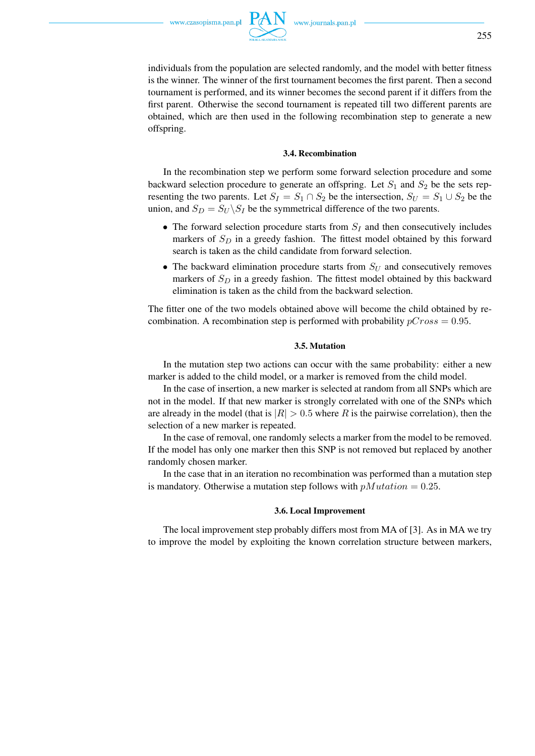255

individuals from the population are selected randomly, and the model with better fitness is the winner. The winner of the first tournament becomes the first parent. Then a second tournament is performed, and its winner becomes the second parent if it differs from the first parent. Otherwise the second tournament is repeated till two different parents are obtained, which are then used in the following recombination step to generate a new offspring.

#### 3.4. Recombination

In the recombination step we perform some forward selection procedure and some backward selection procedure to generate an offspring. Let  $S_1$  and  $S_2$  be the sets representing the two parents. Let  $S_I = S_1 \cap S_2$  be the intersection,  $S_U = S_1 \cup S_2$  be the union, and  $S_D = S_U \backslash S_I$  be the symmetrical difference of the two parents.

- The forward selection procedure starts from  $S_I$  and then consecutively includes markers of  $S_D$  in a greedy fashion. The fittest model obtained by this forward search is taken as the child candidate from forward selection.
- The backward elimination procedure starts from  $S_U$  and consecutively removes markers of  $S_D$  in a greedy fashion. The fittest model obtained by this backward elimination is taken as the child from the backward selection.

The fitter one of the two models obtained above will become the child obtained by recombination. A recombination step is performed with probability  $pCross = 0.95$ .

#### 3.5. Mutation

In the mutation step two actions can occur with the same probability: either a new marker is added to the child model, or a marker is removed from the child model.

In the case of insertion, a new marker is selected at random from all SNPs which are not in the model. If that new marker is strongly correlated with one of the SNPs which are already in the model (that is  $|R| > 0.5$  where R is the pairwise correlation), then the selection of a new marker is repeated.

In the case of removal, one randomly selects a marker from the model to be removed. If the model has only one marker then this SNP is not removed but replaced by another randomly chosen marker.

In the case that in an iteration no recombination was performed than a mutation step is mandatory. Otherwise a mutation step follows with  $p\textit{Mutation} = 0.25$ .

#### 3.6. Local Improvement

The local improvement step probably differs most from MA of [3]. As in MA we try to improve the model by exploiting the known correlation structure between markers,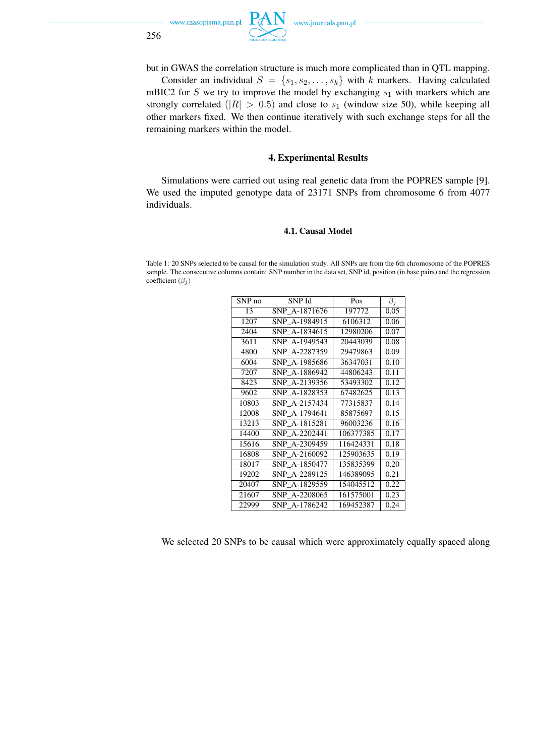



but in GWAS the correlation structure is much more complicated than in QTL mapping.

Consider an individual  $S = \{s_1, s_2, \ldots, s_k\}$  with k markers. Having calculated mBIC2 for S we try to improve the model by exchanging  $s_1$  with markers which are strongly correlated ( $|R| > 0.5$ ) and close to  $s_1$  (window size 50), while keeping all other markers fixed. We then continue iteratively with such exchange steps for all the remaining markers within the model.

### 4. Experimental Results

Simulations were carried out using real genetic data from the POPRES sample [9]. We used the imputed genotype data of 23171 SNPs from chromosome 6 from 4077 individuals.

#### 4.1. Causal Model

Table 1: 20 SNPs selected to be causal for the simulation study. All SNPs are from the 6th chromosome of the POPRES sample. The consecutive columns contain: SNP number in the data set, SNP id, position (in base pairs) and the regression coefficient  $(\beta_j)$ 

| SNP no | SNP Id        | Pos       | $\beta_i$ |
|--------|---------------|-----------|-----------|
| 13     | SNP A-1871676 | 197772    | 0.05      |
| 1207   | SNP_A-1984915 | 6106312   | 0.06      |
| 2404   | SNP A-1834615 | 12980206  | 0.07      |
| 3611   | SNP A-1949543 | 20443039  | 0.08      |
| 4800   | SNP_A-2287359 | 29479863  | 0.09      |
| 6004   | SNP A-1985686 | 36347031  | 0.10      |
| 7207   | SNP A-1886942 | 44806243  | 0.11      |
| 8423   | SNP A-2139356 | 53493302  | 0.12      |
| 9602   | SNP A-1828353 | 67482625  | 0.13      |
| 10803  | SNP A-2157434 | 77315837  | 0.14      |
| 12008  | SNP A-1794641 | 85875697  | 0.15      |
| 13213  | SNP A-1815281 | 96003236  | 0.16      |
| 14400  | SNP A-2202441 | 106377385 | 0.17      |
| 15616  | SNP A-2309459 | 116424331 | 0.18      |
| 16808  | SNP A-2160092 | 125903635 | 0.19      |
| 18017  | SNP_A-1850477 | 135835399 | 0.20      |
| 19202  | SNP A-2289125 | 146389095 | 0.21      |
| 20407  | SNP A-1829559 | 154045512 | 0.22      |
| 21607  | SNP A-2208065 | 161575001 | 0.23      |
| 22999  | SNP A-1786242 | 169452387 | 0.24      |

We selected 20 SNPs to be causal which were approximately equally spaced along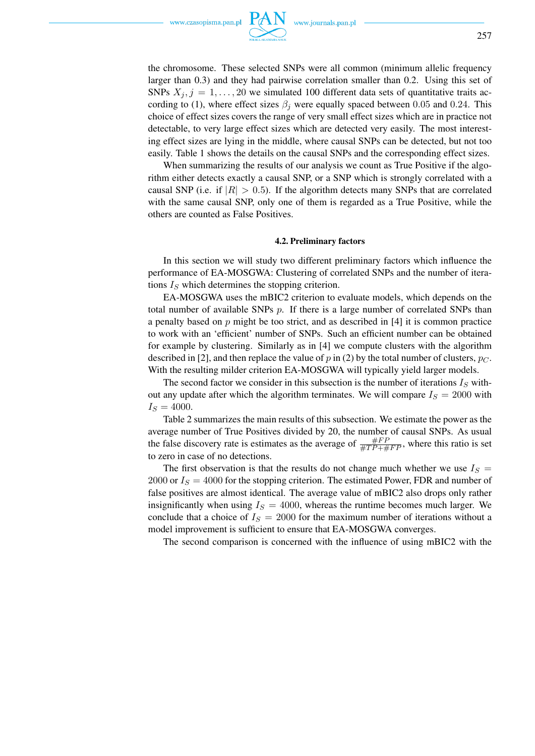

the chromosome. These selected SNPs were all common (minimum allelic frequency larger than 0.3) and they had pairwise correlation smaller than 0.2. Using this set of SNPs  $X_j$ ,  $j = 1, \ldots, 20$  we simulated 100 different data sets of quantitative traits according to (1), where effect sizes  $\beta_i$  were equally spaced between 0.05 and 0.24. This choice of effect sizes covers the range of very small effect sizes which are in practice not detectable, to very large effect sizes which are detected very easily. The most interesting effect sizes are lying in the middle, where causal SNPs can be detected, but not too easily. Table 1 shows the details on the causal SNPs and the corresponding effect sizes.

When summarizing the results of our analysis we count as True Positive if the algorithm either detects exactly a causal SNP, or a SNP which is strongly correlated with a causal SNP (i.e. if  $|R| > 0.5$ ). If the algorithm detects many SNPs that are correlated with the same causal SNP, only one of them is regarded as a True Positive, while the others are counted as False Positives.

#### 4.2. Preliminary factors

In this section we will study two different preliminary factors which influence the performance of EA-MOSGWA: Clustering of correlated SNPs and the number of iterations  $I<sub>S</sub>$  which determines the stopping criterion.

EA-MOSGWA uses the mBIC2 criterion to evaluate models, which depends on the total number of available SNPs  $p$ . If there is a large number of correlated SNPs than a penalty based on  $p$  might be too strict, and as described in [4] it is common practice to work with an 'efficient' number of SNPs. Such an efficient number can be obtained for example by clustering. Similarly as in [4] we compute clusters with the algorithm described in [2], and then replace the value of p in (2) by the total number of clusters,  $p_C$ . With the resulting milder criterion EA-MOSGWA will typically yield larger models.

The second factor we consider in this subsection is the number of iterations  $I_S$  without any update after which the algorithm terminates. We will compare  $I<sub>S</sub> = 2000$  with  $I_S = 4000.$ 

Table 2 summarizes the main results of this subsection. We estimate the power as the average number of True Positives divided by 20, the number of causal SNPs. As usual the false discovery rate is estimates as the average of  $\frac{\#FP}{\#TP + \#FP}$ , where this ratio is set to zero in case of no detections.

The first observation is that the results do not change much whether we use  $I_S =$ 2000 or  $I<sub>S</sub> = 4000$  for the stopping criterion. The estimated Power, FDR and number of false positives are almost identical. The average value of mBIC2 also drops only rather insignificantly when using  $I<sub>S</sub> = 4000$ , whereas the runtime becomes much larger. We conclude that a choice of  $I<sub>S</sub> = 2000$  for the maximum number of iterations without a model improvement is sufficient to ensure that EA-MOSGWA converges.

The second comparison is concerned with the influence of using mBIC2 with the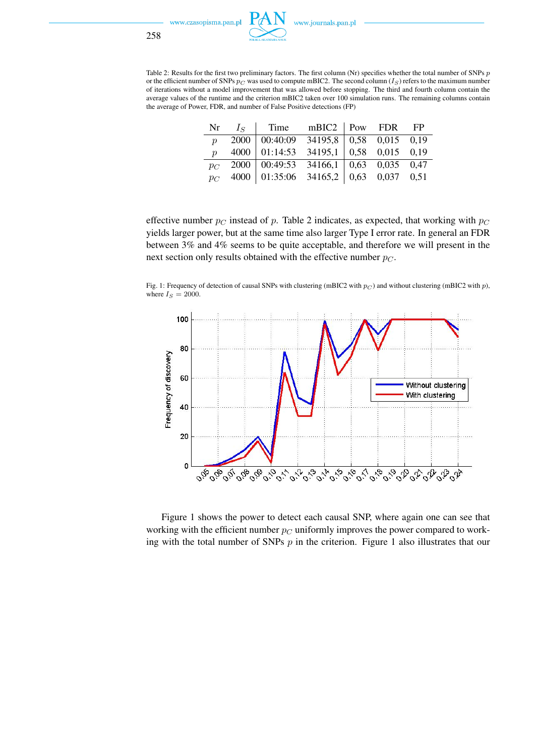

|                     | Nr $I_S$   Time mBIC2   Pow FDR FP                                          |  |  |
|---------------------|-----------------------------------------------------------------------------|--|--|
| $\boldsymbol{\eta}$ | $2000$   00:40:09 34195,8 0.58 0.015 0.19                                   |  |  |
|                     | $p \quad 4000 \mid 01:14:53 \quad 34195,1 \mid 0.58 \quad 0.015 \quad 0.19$ |  |  |
|                     | $p_C$ 2000 00:49:53 34166,1 0.63 0.035 0.47                                 |  |  |
|                     | $\overline{p}_C$ 4000 01:35:06 34165,2 0.63 0.037 0.51                      |  |  |

effective number  $p_C$  instead of p. Table 2 indicates, as expected, that working with  $p_C$ yields larger power, but at the same time also larger Type I error rate. In general an FDR between 3% and 4% seems to be quite acceptable, and therefore we will present in the next section only results obtained with the effective number  $p_C$ .

Fig. 1: Frequency of detection of causal SNPs with clustering (mBIC2 with  $p_C$ ) and without clustering (mBIC2 with p), where  $I_S = 2000$ .



Figure 1 shows the power to detect each causal SNP, where again one can see that working with the efficient number  $p_C$  uniformly improves the power compared to working with the total number of SNPs  $p$  in the criterion. Figure 1 also illustrates that our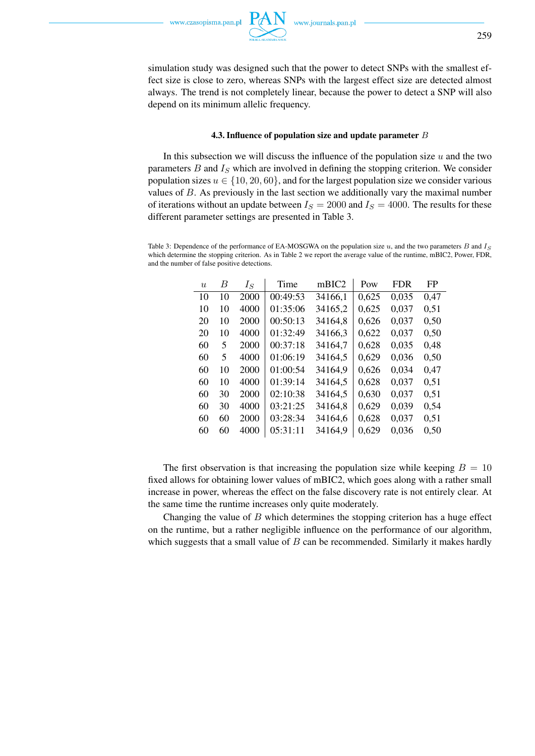simulation study was designed such that the power to detect SNPs with the smallest effect size is close to zero, whereas SNPs with the largest effect size are detected almost always. The trend is not completely linear, because the power to detect a SNP will also depend on its minimum allelic frequency.

#### 4.3. Influence of population size and update parameter B

In this subsection we will discuss the influence of the population size  $u$  and the two parameters B and  $I<sub>S</sub>$  which are involved in defining the stopping criterion. We consider population sizes  $u \in \{10, 20, 60\}$ , and for the largest population size we consider various values of  $B$ . As previously in the last section we additionally vary the maximal number of iterations without an update between  $I_S = 2000$  and  $I_S = 4000$ . The results for these different parameter settings are presented in Table 3.

Table 3: Dependence of the performance of EA-MOSGWA on the population size  $u$ , and the two parameters  $B$  and  $I_S$ which determine the stopping criterion. As in Table 2 we report the average value of the runtime, mBIC2, Power, FDR, and the number of false positive detections.

| $\boldsymbol{u}$ | B  | $I_S$ | Time     | mBIC2   | Pow   | <b>FDR</b> | FP   |
|------------------|----|-------|----------|---------|-------|------------|------|
| 10               | 10 | 2000  | 00:49:53 | 34166,1 | 0,625 | 0,035      | 0,47 |
| 10               | 10 | 4000  | 01:35:06 | 34165,2 | 0,625 | 0,037      | 0,51 |
| 20               | 10 | 2000  | 00:50:13 | 34164,8 | 0,626 | 0,037      | 0,50 |
| 20               | 10 | 4000  | 01:32:49 | 34166,3 | 0,622 | 0,037      | 0,50 |
| 60               | 5  | 2000  | 00:37:18 | 34164,7 | 0,628 | 0,035      | 0,48 |
| 60               | 5  | 4000  | 01:06:19 | 34164,5 | 0,629 | 0,036      | 0,50 |
| 60               | 10 | 2000  | 01:00:54 | 34164,9 | 0,626 | 0,034      | 0,47 |
| 60               | 10 | 4000  | 01:39:14 | 34164,5 | 0,628 | 0,037      | 0.51 |
| 60               | 30 | 2000  | 02:10:38 | 34164,5 | 0,630 | 0,037      | 0,51 |
| 60               | 30 | 4000  | 03:21:25 | 34164,8 | 0,629 | 0,039      | 0,54 |
| 60               | 60 | 2000  | 03:28:34 | 34164,6 | 0,628 | 0,037      | 0,51 |
| 60               | 60 | 4000  | 05:31:11 | 34164,9 | 0,629 | 0,036      | 0,50 |

The first observation is that increasing the population size while keeping  $B = 10$ fixed allows for obtaining lower values of mBIC2, which goes along with a rather small increase in power, whereas the effect on the false discovery rate is not entirely clear. At the same time the runtime increases only quite moderately.

Changing the value of  $B$  which determines the stopping criterion has a huge effect on the runtime, but a rather negligible influence on the performance of our algorithm, which suggests that a small value of  $B$  can be recommended. Similarly it makes hardly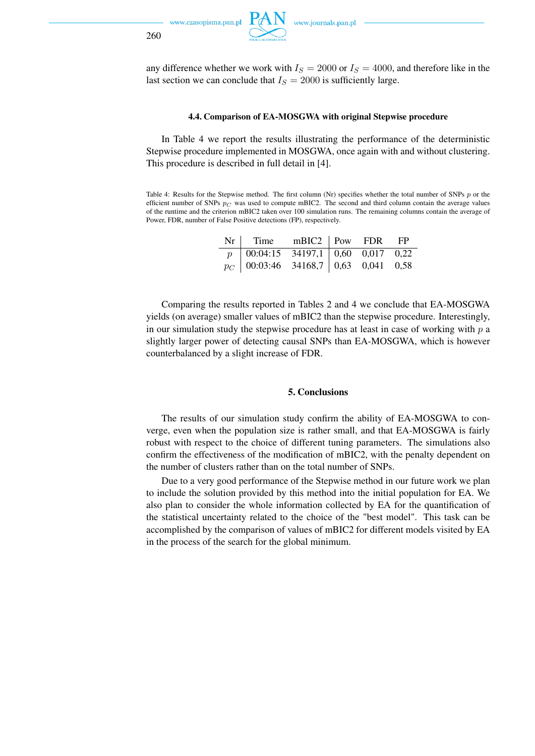

260



### 4.4. Comparison of EA-MOSGWA with original Stepwise procedure

In Table 4 we report the results illustrating the performance of the deterministic Stepwise procedure implemented in MOSGWA, once again with and without clustering. This procedure is described in full detail in [4].

Table 4: Results for the Stepwise method. The first column (Nr) specifies whether the total number of SNPs p or the efficient number of SNPs  $p_C$  was used to compute mBIC2. The second and third column contain the average values of the runtime and the criterion mBIC2 taken over 100 simulation runs. The remaining columns contain the average of Power, FDR, number of False Positive detections (FP), respectively.

| $Nr \mid$ Time mBIC2   Pow FDR FP                                |  |  |
|------------------------------------------------------------------|--|--|
| $p \mid 00:04:15 \quad 34197,1 \mid 0,60 \quad 0,017 \quad 0,22$ |  |  |
| $p_C$ 00:03:46 34168,7 0,63 0,041 0,58                           |  |  |

Comparing the results reported in Tables 2 and 4 we conclude that EA-MOSGWA yields (on average) smaller values of mBIC2 than the stepwise procedure. Interestingly, in our simulation study the stepwise procedure has at least in case of working with  $p$  a slightly larger power of detecting causal SNPs than EA-MOSGWA, which is however counterbalanced by a slight increase of FDR.

#### 5. Conclusions

The results of our simulation study confirm the ability of EA-MOSGWA to converge, even when the population size is rather small, and that EA-MOSGWA is fairly robust with respect to the choice of different tuning parameters. The simulations also confirm the effectiveness of the modification of mBIC2, with the penalty dependent on the number of clusters rather than on the total number of SNPs.

Due to a very good performance of the Stepwise method in our future work we plan to include the solution provided by this method into the initial population for EA. We also plan to consider the whole information collected by EA for the quantification of the statistical uncertainty related to the choice of the "best model". This task can be accomplished by the comparison of values of mBIC2 for different models visited by EA in the process of the search for the global minimum.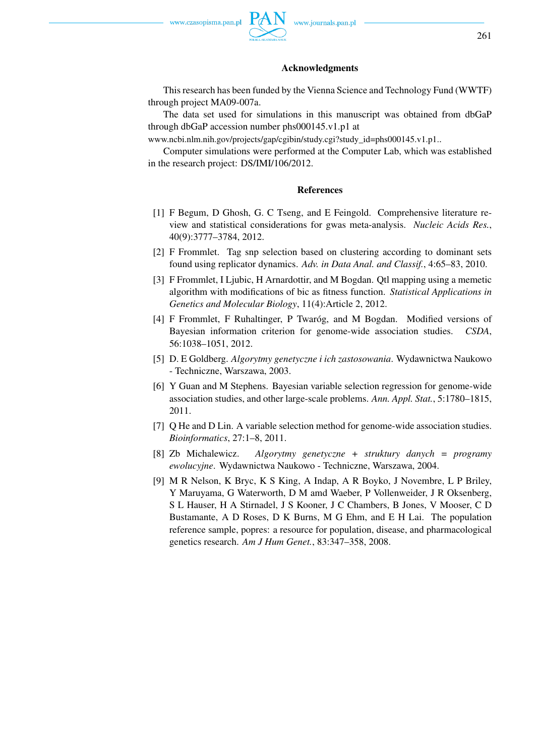# Acknowledgments

This research has been funded by the Vienna Science and Technology Fund (WWTF) through project MA09-007a.

The data set used for simulations in this manuscript was obtained from dbGaP through dbGaP accession number phs000145.v1.p1 at

www.ncbi.nlm.nih.gov/projects/gap/cgibin/study.cgi?study\_id=phs000145.v1.p1..

Computer simulations were performed at the Computer Lab, which was established in the research project: DS/IMI/106/2012.

#### References

- [1] F Begum, D Ghosh, G. C Tseng, and E Feingold. Comprehensive literature review and statistical considerations for gwas meta-analysis. *Nucleic Acids Res.*, 40(9):3777–3784, 2012.
- [2] F Frommlet. Tag snp selection based on clustering according to dominant sets found using replicator dynamics. *Adv. in Data Anal. and Classif.*, 4:65–83, 2010.
- [3] F Frommlet, I Ljubic, H Arnardottir, and M Bogdan. Qtl mapping using a memetic algorithm with modifications of bic as fitness function. *Statistical Applications in Genetics and Molecular Biology*, 11(4):Article 2, 2012.
- [4] F Frommlet, F Ruhaltinger, P Twaróg, and M Bogdan. Modified versions of Bayesian information criterion for genome-wide association studies. *CSDA*, 56:1038–1051, 2012.
- [5] D. E Goldberg. *Algorytmy genetyczne i ich zastosowania*. Wydawnictwa Naukowo - Techniczne, Warszawa, 2003.
- [6] Y Guan and M Stephens. Bayesian variable selection regression for genome-wide association studies, and other large-scale problems. *Ann. Appl. Stat.*, 5:1780–1815, 2011.
- [7] Q He and D Lin. A variable selection method for genome-wide association studies. *Bioinformatics*, 27:1–8, 2011.
- [8] Zb Michalewicz. *Algorytmy genetyczne + struktury danych = programy ewolucyjne*. Wydawnictwa Naukowo - Techniczne, Warszawa, 2004.
- [9] M R Nelson, K Bryc, K S King, A Indap, A R Boyko, J Novembre, L P Briley, Y Maruyama, G Waterworth, D M amd Waeber, P Vollenweider, J R Oksenberg, S L Hauser, H A Stirnadel, J S Kooner, J C Chambers, B Jones, V Mooser, C D Bustamante, A D Roses, D K Burns, M G Ehm, and E H Lai. The population reference sample, popres: a resource for population, disease, and pharmacological genetics research. *Am J Hum Genet.*, 83:347–358, 2008.